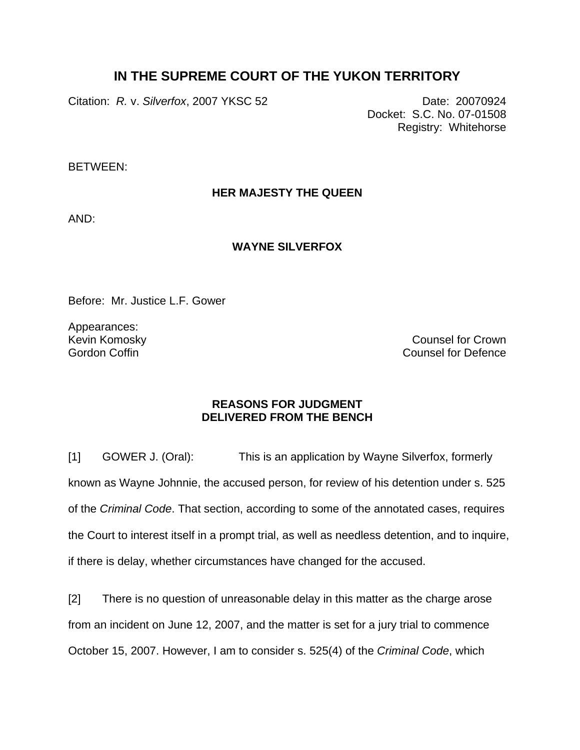## **IN THE SUPREME COURT OF THE YUKON TERRITORY**

Citation: *R. v. Silverfox*, 2007 YKSC 52 Date: 20070924

Docket: S.C. No. 07-01508 Registry: Whitehorse

BETWEEN:

## **HER MAJESTY THE QUEEN**

AND:

## **WAYNE SILVERFOX**

Before: Mr. Justice L.F. Gower

Appearances: Kevin Komosky Gordon Coffin

Counsel for Crown Counsel for Defence

## **REASONS FOR JUDGMENT DELIVERED FROM THE BENCH**

[1] GOWER J. (Oral): This is an application by Wayne Silverfox, formerly known as Wayne Johnnie, the accused person, for review of his detention under s. 525 of the *Criminal Code*. That section, according to some of the annotated cases, requires the Court to interest itself in a prompt trial, as well as needless detention, and to inquire, if there is delay, whether circumstances have changed for the accused.

[2] There is no question of unreasonable delay in this matter as the charge arose from an incident on June 12, 2007, and the matter is set for a jury trial to commence October 15, 2007. However, I am to consider s. 525(4) of the *Criminal Code*, which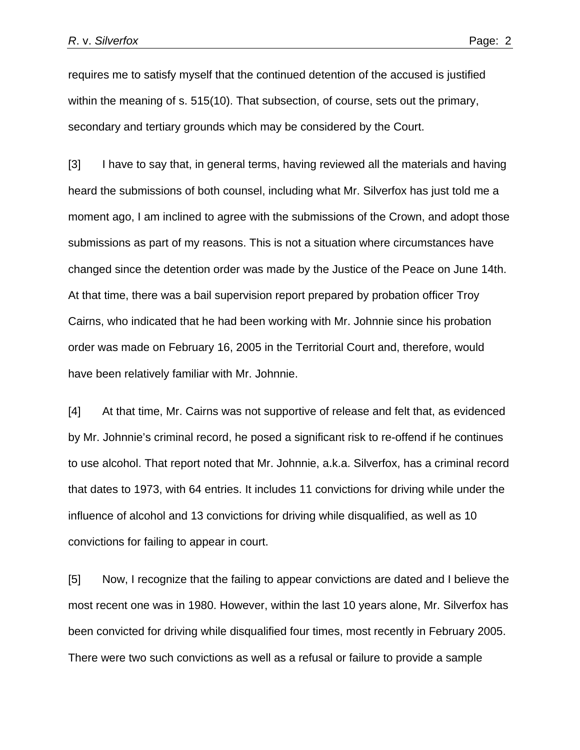requires me to satisfy myself that the continued detention of the accused is justified within the meaning of s. 515(10). That subsection, of course, sets out the primary, secondary and tertiary grounds which may be considered by the Court.

[3] I have to say that, in general terms, having reviewed all the materials and having heard the submissions of both counsel, including what Mr. Silverfox has just told me a moment ago, I am inclined to agree with the submissions of the Crown, and adopt those submissions as part of my reasons. This is not a situation where circumstances have changed since the detention order was made by the Justice of the Peace on June 14th. At that time, there was a bail supervision report prepared by probation officer Troy Cairns, who indicated that he had been working with Mr. Johnnie since his probation order was made on February 16, 2005 in the Territorial Court and, therefore, would have been relatively familiar with Mr. Johnnie.

[4] At that time, Mr. Cairns was not supportive of release and felt that, as evidenced by Mr. Johnnie's criminal record, he posed a significant risk to re-offend if he continues to use alcohol. That report noted that Mr. Johnnie, a.k.a. Silverfox, has a criminal record that dates to 1973, with 64 entries. It includes 11 convictions for driving while under the influence of alcohol and 13 convictions for driving while disqualified, as well as 10 convictions for failing to appear in court.

[5] Now, I recognize that the failing to appear convictions are dated and I believe the most recent one was in 1980. However, within the last 10 years alone, Mr. Silverfox has been convicted for driving while disqualified four times, most recently in February 2005. There were two such convictions as well as a refusal or failure to provide a sample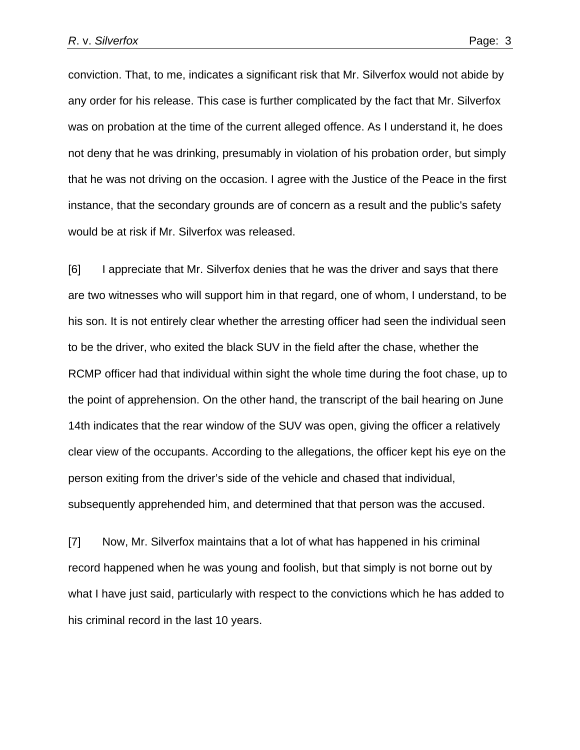conviction. That, to me, indicates a significant risk that Mr. Silverfox would not abide by any order for his release. This case is further complicated by the fact that Mr. Silverfox was on probation at the time of the current alleged offence. As I understand it, he does not deny that he was drinking, presumably in violation of his probation order, but simply that he was not driving on the occasion. I agree with the Justice of the Peace in the first instance, that the secondary grounds are of concern as a result and the public's safety would be at risk if Mr. Silverfox was released.

[6] I appreciate that Mr. Silverfox denies that he was the driver and says that there are two witnesses who will support him in that regard, one of whom, I understand, to be his son. It is not entirely clear whether the arresting officer had seen the individual seen to be the driver, who exited the black SUV in the field after the chase, whether the RCMP officer had that individual within sight the whole time during the foot chase, up to the point of apprehension. On the other hand, the transcript of the bail hearing on June 14th indicates that the rear window of the SUV was open, giving the officer a relatively clear view of the occupants. According to the allegations, the officer kept his eye on the person exiting from the driver's side of the vehicle and chased that individual, subsequently apprehended him, and determined that that person was the accused.

[7] Now, Mr. Silverfox maintains that a lot of what has happened in his criminal record happened when he was young and foolish, but that simply is not borne out by what I have just said, particularly with respect to the convictions which he has added to his criminal record in the last 10 years.